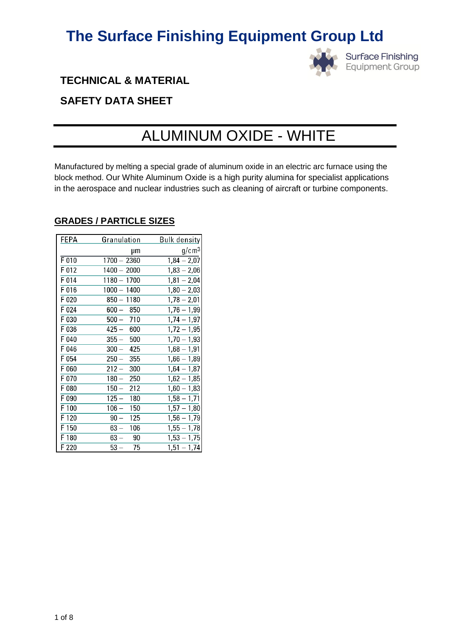

**Surface Finishing** Equipment Group

### **TECHNICAL & MATERIAL**

### **SAFETY DATA SHEET**

## ALUMINUM OXIDE - WHITE

Manufactured by melting a special grade of aluminum oxide in an electric arc furnace using the block method. Our White Aluminum Oxide is a high purity alumina for specialist applications in the aerospace and nuclear industries such as cleaning of aircraft or turbine components.

| FEPA    | Granulation   | <u>Bulk density</u> |
|---------|---------------|---------------------|
|         | μm            | g/cm <sup>3</sup>   |
| $F$ 010 | $1700 - 2360$ | $1,84 - 2,07$       |
| F 012   | $1400 - 2000$ | $1,83 - 2,06$       |
| F 014   | $1180 - 1700$ | $1,81 - 2,04$       |
| F 016   | $1000 - 1400$ | $1,80 - 2,03$       |
| F 020   | $850 - 1180$  | $1,78 - 2,01$       |
| F 024   | $600 - 850$   | $1,76 - 1,99$       |
| F 030   | $500 - 710$   | $1,74 - 1,97$       |
| F 036   | $425 - 600$   | $1,72 - 1,95$       |
| F 040   | $355 - 500$   | $1,70 - 1,93$       |
| F 046   | $300 - 425$   | $1,68 - 1,91$       |
| F 054   | $250 - 355$   | $1,66 - 1,89$       |
| F 060   | $212 - 300$   | $1,64 - 1,87$       |
| F 070   | 250<br>180 —  | $1,62 - 1,85$       |
| F 080   | $150-$<br>212 | $1,60 - 1,83$       |
| F 090   | 125 —<br>180  | $1,58 - 1,71$       |
| F 100   | $106 - 150$   | $1,57 - 1,80$       |
| F 120   | $90 - 125$    | $1,56 - 1,79$       |
| F 150   | 63 —<br>106   | $1,55 - 1,78$       |
| F 180   | $63 - 90$     | $1,53 - 1,75$       |
| F 220   | $53 -$<br>75  | $1,51 - 1,74$       |

### **GRADES / PARTICLE SIZES**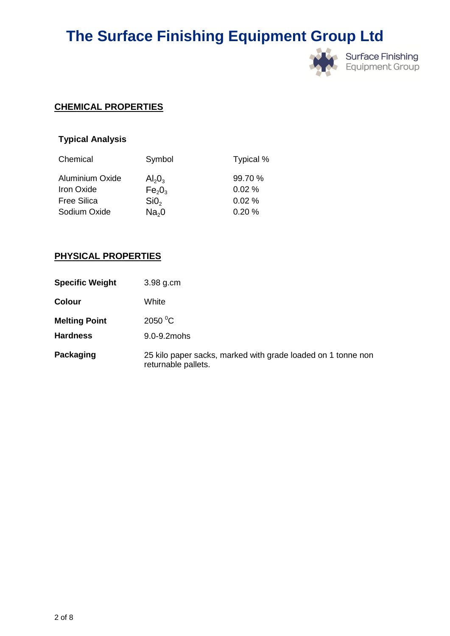

### **CHEMICAL PROPERTIES**

### **Typical Analysis**

| Chemical                                    | Symbol                                             | Typical %        |
|---------------------------------------------|----------------------------------------------------|------------------|
| <b>Aluminium Oxide</b><br><b>Iron Oxide</b> | $Al_2O_3$                                          | 99.70 %<br>0.02% |
| <b>Free Silica</b>                          | Fe <sub>2</sub> O <sub>3</sub><br>SiO <sub>2</sub> | 0.02%            |
| Sodium Oxide                                | Na <sub>2</sub> 0                                  | 0.20%            |

### **PHYSICAL PROPERTIES**

| <b>Specific Weight</b> | 3.98 g.cm                                                                           |
|------------------------|-------------------------------------------------------------------------------------|
| <b>Colour</b>          | White                                                                               |
| <b>Melting Point</b>   | 2050 °C                                                                             |
| <b>Hardness</b>        | 9.0-9.2mohs                                                                         |
| Packaging              | 25 kilo paper sacks, marked with grade loaded on 1 tonne non<br>returnable pallets. |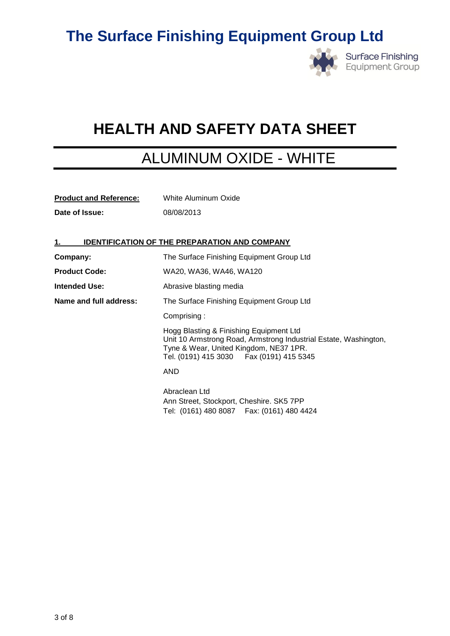

# **HEALTH AND SAFETY DATA SHEET**

### ALUMINUM OXIDE - WHITE

| <b>Product and Reference:</b> | White Aluminum Oxide |
|-------------------------------|----------------------|
| Date of Issue:                | 08/08/2013           |

### **1. IDENTIFICATION OF THE PREPARATION AND COMPANY**

| Company:               | The Surface Finishing Equipment Group Ltd                                                                                                                                                           |  |
|------------------------|-----------------------------------------------------------------------------------------------------------------------------------------------------------------------------------------------------|--|
| <b>Product Code:</b>   | WA20, WA36, WA46, WA120                                                                                                                                                                             |  |
| Intended Use:          | Abrasive blasting media                                                                                                                                                                             |  |
| Name and full address: | The Surface Finishing Equipment Group Ltd                                                                                                                                                           |  |
|                        | Comprising:                                                                                                                                                                                         |  |
|                        | Hogg Blasting & Finishing Equipment Ltd<br>Unit 10 Armstrong Road, Armstrong Industrial Estate, Washington,<br>Tyne & Wear, United Kingdom, NE37 1PR.<br>Tel. (0191) 415 3030   Fax (0191) 415 5345 |  |
|                        | AND                                                                                                                                                                                                 |  |
|                        | Abraclean Ltd<br>Ann Street, Stockport, Cheshire. SK5 7PP<br>Tel: (0161) 480 8087  Fax: (0161) 480 4424                                                                                             |  |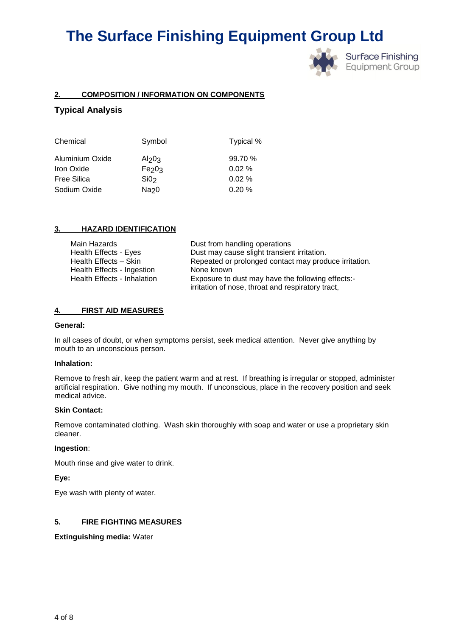

**Surface Finishing Equipment Group** 

#### **2. COMPOSITION / INFORMATION ON COMPONENTS**

#### **Typical Analysis**

| Chemical           | Symbol            | Typical % |
|--------------------|-------------------|-----------|
| Aluminium Oxide    | Al <sub>203</sub> | 99.70 %   |
| Iron Oxide         | Fe <sub>203</sub> | $0.02 \%$ |
| <b>Free Silica</b> | SiO <sub>2</sub>  | 0.02%     |
| Sodium Oxide       | Na <sub>20</sub>  | 0.20%     |

#### **3. HAZARD IDENTIFICATION**

| Main Hazards                | Dust from handling operations                         |
|-----------------------------|-------------------------------------------------------|
| Health Effects - Eyes       | Dust may cause slight transient irritation.           |
| Health Effects - Skin       | Repeated or prolonged contact may produce irritation. |
| Health Effects - Ingestion  | None known                                            |
| Health Effects - Inhalation | Exposure to dust may have the following effects:-     |
|                             | irritation of nose, throat and respiratory tract,     |

#### **4. FIRST AID MEASURES**

#### **General:**

In all cases of doubt, or when symptoms persist, seek medical attention. Never give anything by mouth to an unconscious person.

#### **Inhalation:**

Remove to fresh air, keep the patient warm and at rest. If breathing is irregular or stopped, administer artificial respiration. Give nothing my mouth. If unconscious, place in the recovery position and seek medical advice.

#### **Skin Contact:**

Remove contaminated clothing. Wash skin thoroughly with soap and water or use a proprietary skin cleaner.

#### **Ingestion**:

Mouth rinse and give water to drink.

#### **Eye:**

Eye wash with plenty of water.

#### **5. FIRE FIGHTING MEASURES**

#### **Extinguishing media:** Water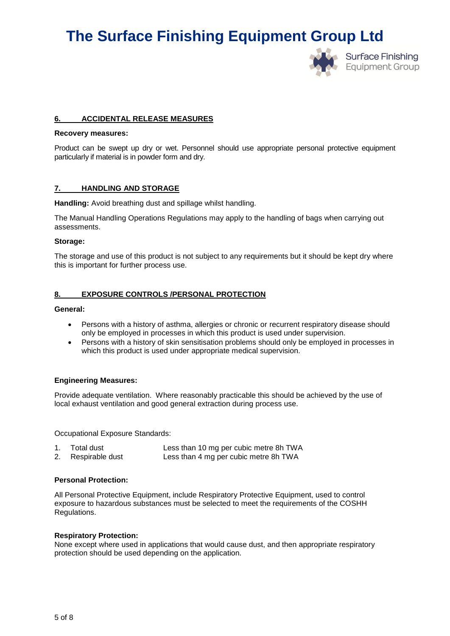

#### **6. ACCIDENTAL RELEASE MEASURES**

#### **Recovery measures:**

Product can be swept up dry or wet. Personnel should use appropriate personal protective equipment particularly if material is in powder form and dry.

#### **7. HANDLING AND STORAGE**

**Handling:** Avoid breathing dust and spillage whilst handling.

The Manual Handling Operations Regulations may apply to the handling of bags when carrying out assessments.

#### **Storage:**

The storage and use of this product is not subject to any requirements but it should be kept dry where this is important for further process use.

#### **8. EXPOSURE CONTROLS /PERSONAL PROTECTION**

#### **General:**

- Persons with a history of asthma, allergies or chronic or recurrent respiratory disease should only be employed in processes in which this product is used under supervision.
- Persons with a history of skin sensitisation problems should only be employed in processes in which this product is used under appropriate medical supervision.

#### **Engineering Measures:**

Provide adequate ventilation. Where reasonably practicable this should be achieved by the use of local exhaust ventilation and good general extraction during process use.

Occupational Exposure Standards:

| 1. | Total dust         | Less than 10 mg per cubic metre 8h TWA |
|----|--------------------|----------------------------------------|
|    | 2. Respirable dust | Less than 4 mg per cubic metre 8h TWA  |

#### **Personal Protection:**

All Personal Protective Equipment, include Respiratory Protective Equipment, used to control exposure to hazardous substances must be selected to meet the requirements of the COSHH Regulations.

#### **Respiratory Protection:**

None except where used in applications that would cause dust, and then appropriate respiratory protection should be used depending on the application.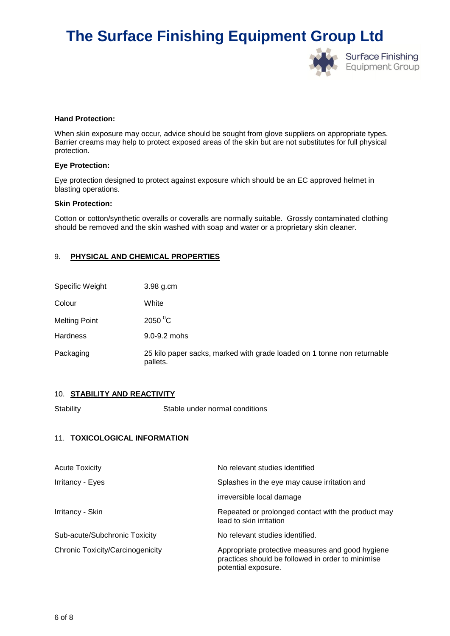

#### **Hand Protection:**

When skin exposure may occur, advice should be sought from glove suppliers on appropriate types. Barrier creams may help to protect exposed areas of the skin but are not substitutes for full physical protection.

#### **Eye Protection:**

Eye protection designed to protect against exposure which should be an EC approved helmet in blasting operations.

#### **Skin Protection:**

Cotton or cotton/synthetic overalls or coveralls are normally suitable. Grossly contaminated clothing should be removed and the skin washed with soap and water or a proprietary skin cleaner.

#### 9. **PHYSICAL AND CHEMICAL PROPERTIES**

| Specific Weight      | 3.98 g.cm                                                                           |
|----------------------|-------------------------------------------------------------------------------------|
| Colour               | White                                                                               |
| <b>Melting Point</b> | 2050 $\mathrm{^0C}$                                                                 |
| <b>Hardness</b>      | $9.0 - 9.2$ mohs                                                                    |
| Packaging            | 25 kilo paper sacks, marked with grade loaded on 1 tonne non returnable<br>pallets. |

#### 10. **STABILITY AND REACTIVITY**

Stability Stable under normal conditions

#### 11. **TOXICOLOGICAL INFORMATION**

| <b>Acute Toxicity</b>            | No relevant studies identified                                                                                               |
|----------------------------------|------------------------------------------------------------------------------------------------------------------------------|
| Irritancy - Eyes                 | Splashes in the eye may cause irritation and                                                                                 |
|                                  | irreversible local damage                                                                                                    |
| Irritancy - Skin                 | Repeated or prolonged contact with the product may<br>lead to skin irritation                                                |
| Sub-acute/Subchronic Toxicity    | No relevant studies identified.                                                                                              |
| Chronic Toxicity/Carcinogenicity | Appropriate protective measures and good hygiene<br>practices should be followed in order to minimise<br>potential exposure. |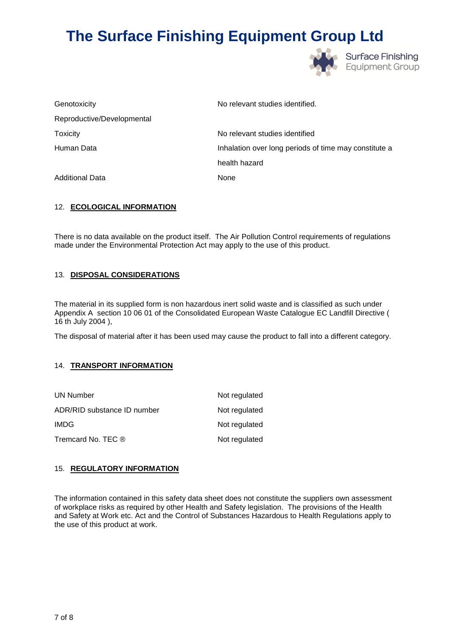

| Genotoxicity               | No relevant studies identified.                       |
|----------------------------|-------------------------------------------------------|
| Reproductive/Developmental |                                                       |
| <b>Toxicity</b>            | No relevant studies identified                        |
| Human Data                 | Inhalation over long periods of time may constitute a |
|                            | health hazard                                         |
| <b>Additional Data</b>     | None                                                  |

#### 12. **ECOLOGICAL INFORMATION**

There is no data available on the product itself. The Air Pollution Control requirements of regulations made under the Environmental Protection Act may apply to the use of this product.

#### 13. **DISPOSAL CONSIDERATIONS**

The material in its supplied form is non hazardous inert solid waste and is classified as such under Appendix A section 10 06 01 of the Consolidated European Waste Catalogue EC Landfill Directive ( 16 th July 2004 ),

The disposal of material after it has been used may cause the product to fall into a different category.

#### 14. **TRANSPORT INFORMATION**

| UN Number                   | Not regulated |
|-----------------------------|---------------|
| ADR/RID substance ID number | Not regulated |
| IMDG.                       | Not regulated |
| Tremcard No. TEC ®          | Not regulated |

#### 15. **REGULATORY INFORMATION**

The information contained in this safety data sheet does not constitute the suppliers own assessment of workplace risks as required by other Health and Safety legislation. The provisions of the Health and Safety at Work etc. Act and the Control of Substances Hazardous to Health Regulations apply to the use of this product at work.